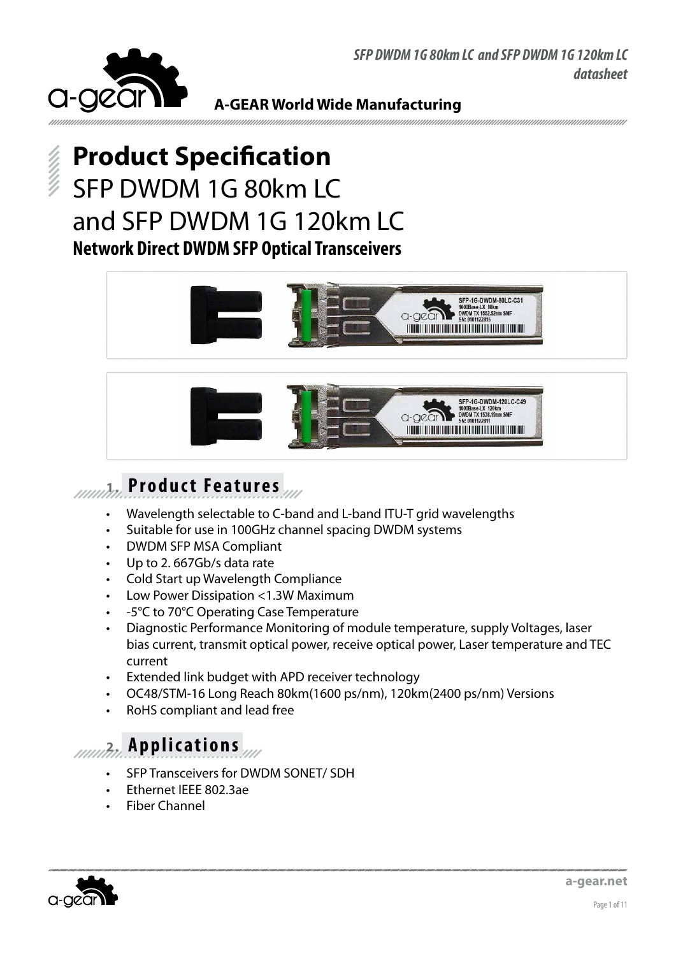



# **Product Specification** SFP DWDM 1G 80km LC and SFP DWDM 1G 120km LC **Network Direct DWDM SFP Optical Transceivers**





# **1. Product Features**

- Wavelength selectable to C-band and L-band ITU-T grid wavelengths
- Suitable for use in 100GHz channel spacing DWDM systems
- DWDM SFP MSA Compliant
- Up to 2.667Gb/s data rate
- Cold Start up Wavelength Compliance
- Low Power Dissipation <1.3W Maximum
- -5°C to 70°C Operating Case Temperature
- Diagnostic Performance Monitoring of module temperature, supply Voltages, laser bias current, transmit optical power, receive optical power, Laser temperature and TEC current
- Extended link budget with APD receiver technology
- OC48/STM-16 Long Reach 80km(1600 ps/nm), 120km(2400 ps/nm) Versions
- RoHS compliant and lead free

### **2. Applications**

- SFP Transceivers for DWDM SONET/ SDH
- Ethernet IEEE 802.3ae
- **Fiber Channel**

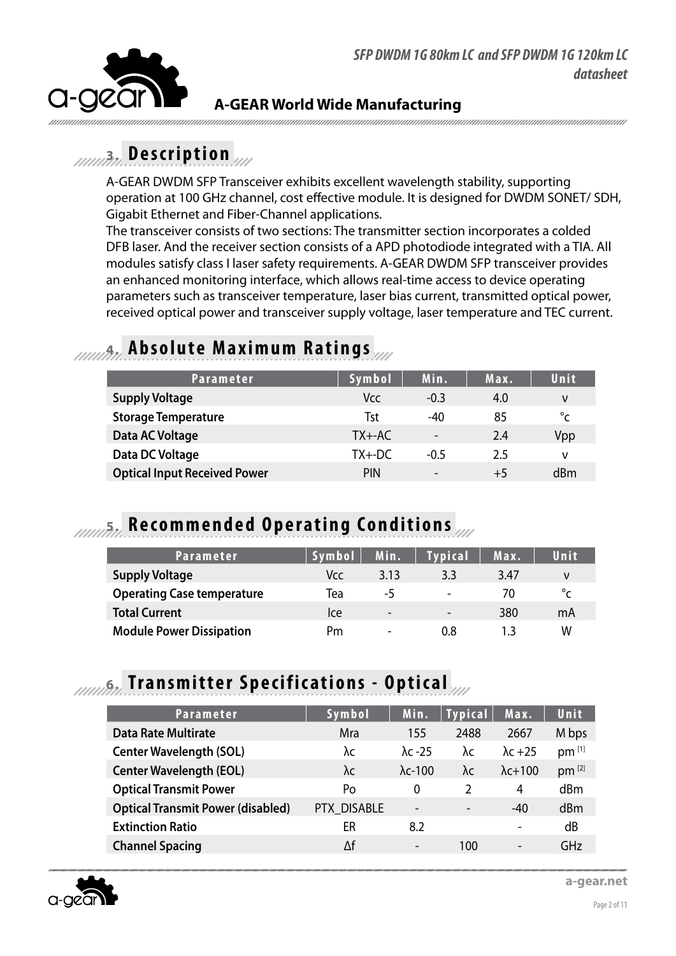

### **3. Description**

A-GEAR DWDM SFP Transceiver exhibits excellent wavelength stability, supporting operation at 100 GHz channel, cost effective module. It is designed for DWDM SONET/ SDH, Gigabit Ethernet and Fiber-Channel applications.

The transceiver consists of two sections: The transmitter section incorporates a colded DFB laser. And the receiver section consists of a APD photodiode integrated with a TIA. All modules satisfy class I laser safety requirements. A-GEAR DWDM SFP transceiver provides an enhanced monitoring interface, which allows real-time access to device operating parameters such as transceiver temperature, laser bias current, transmitted optical power, received optical power and transceiver supply voltage, laser temperature and TEC current.

### **4. Absolute Maximum Ratings**

| <b>Parameter</b>                    | Symbol     | Min.                     | Max. | Unit         |
|-------------------------------------|------------|--------------------------|------|--------------|
| <b>Supply Voltage</b>               | Vcc        | $-0.3$                   | 4.0  | ν            |
| <b>Storage Temperature</b>          | Tst        | $-40$                    | 85   | $^{\circ}$ C |
| Data AC Voltage                     | $TX + -AC$ | $\overline{a}$           | 2.4  | Vpp          |
| Data DC Voltage                     | $TX + DC$  | $-0.5$                   | 2.5  | ν            |
| <b>Optical Input Received Power</b> | <b>PIN</b> | $\overline{\phantom{a}}$ | $+5$ | dBm          |

### **5. Recommended Operating Conditions**

| Parameter                         | Symbol | Min.                     | <b>Typical</b>           | Max. | Unit                  |
|-----------------------------------|--------|--------------------------|--------------------------|------|-----------------------|
| <b>Supply Voltage</b>             | Vcc.   | 3.13                     | 3.3                      | 3.47 | ν                     |
| <b>Operating Case temperature</b> | Tea    | -5                       | $\overline{\phantom{a}}$ | 70   | $\mathcal{P}^{\circ}$ |
| <b>Total Current</b>              | lce    | $\overline{\phantom{0}}$ | $\qquad \qquad -$        | 380  | mA                    |
| <b>Module Power Dissipation</b>   | Pm     | $\overline{\phantom{0}}$ | 0.8                      |      | W                     |

### **6. Transmitter Specifications - Optical**

| <b>Parameter</b>                         | Symbol      | Min.                     | <b>Typical</b> | Max.                     | Unit       |
|------------------------------------------|-------------|--------------------------|----------------|--------------------------|------------|
| <b>Data Rate Multirate</b>               | Mra         | 155                      | 2488           | 2667                     | M bps      |
| <b>Center Wavelength (SOL)</b>           | λc          | $\lambda$ c -25          | λc             | $\lambda$ c +25          | $pm$ [1]   |
| <b>Center Wavelength (EOL)</b>           | λc          | $\lambda$ c-100          | λc             | $\lambda$ c+100          | $pm^{[2]}$ |
| <b>Optical Transmit Power</b>            | Po          | $\Omega$                 | $\mathcal{P}$  | 4                        | dBm        |
| <b>Optical Transmit Power (disabled)</b> | PTX DISABLE | $\overline{\phantom{a}}$ |                | $-40$                    | dBm        |
| <b>Extinction Ratio</b>                  | ER          | 8.2                      |                | -                        | dB         |
| <b>Channel Spacing</b>                   | Δf          | $\overline{\phantom{a}}$ | 100            | $\overline{\phantom{0}}$ | GHz        |

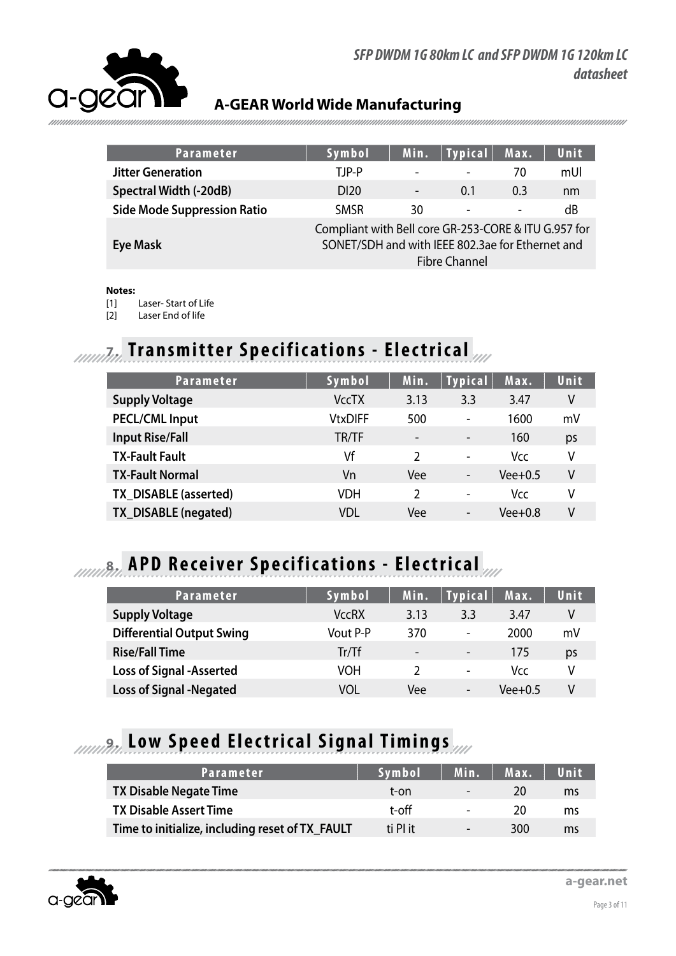

| Parameter                          | Symbol                                                                                                                           | Min.                         | <b>Typical</b>           | Max.                     | Unit |
|------------------------------------|----------------------------------------------------------------------------------------------------------------------------------|------------------------------|--------------------------|--------------------------|------|
| <b>Jitter Generation</b>           | TJP-P                                                                                                                            | $\qquad \qquad \blacksquare$ | $\blacksquare$           | 70                       | mUI  |
| Spectral Width (-20dB)             | D <sub>120</sub>                                                                                                                 | $\overline{\phantom{a}}$     | 0.1                      | 0.3                      | nm   |
| <b>Side Mode Suppression Ratio</b> | <b>SMSR</b>                                                                                                                      | 30                           | $\overline{\phantom{a}}$ | $\overline{\phantom{a}}$ | dB   |
| Eye Mask                           | Compliant with Bell core GR-253-CORE & ITU G.957 for<br>SONET/SDH and with IEEE 802.3ae for Ethernet and<br><b>Fibre Channel</b> |                              |                          |                          |      |
|                                    |                                                                                                                                  |                              |                          |                          |      |

### **Notes:**

- Laser- Start of Life
- [2] Laser End of life

# **7. Transmitter Specifications - Electrical**

| <b>Parameter</b>       | Symbol         | Min.                     | <b>Typical</b>           | Max.      | Unit |
|------------------------|----------------|--------------------------|--------------------------|-----------|------|
| <b>Supply Voltage</b>  | <b>VccTX</b>   | 3.13                     | 3.3                      | 3.47      | V    |
| <b>PECL/CML Input</b>  | <b>VtxDIFF</b> | 500                      | $\overline{a}$           | 1600      | mV   |
| <b>Input Rise/Fall</b> | TR/TF          | $\overline{\phantom{a}}$ | $\overline{\phantom{a}}$ | 160       | ps   |
| <b>TX-Fault Fault</b>  | Vf             | 2                        | $\blacksquare$           | Vcc       | ٧    |
| <b>TX-Fault Normal</b> | Vn             | Vee                      | $\overline{\phantom{a}}$ | $Vee+0.5$ | ٧    |
| TX DISABLE (asserted)  | VDH            | $\mathfrak z$            | $\blacksquare$           | Vcc.      | V    |
| TX_DISABLE (negated)   | VDL            | Vee                      | $\overline{\phantom{a}}$ | Vee+0.8   | V    |

## **APD Receiver Specifications - Electrical**

| <b>Parameter</b>                 | Symbol           | Min.                     | <b>Typical</b>           | Max.      | Unit |
|----------------------------------|------------------|--------------------------|--------------------------|-----------|------|
| <b>Supply Voltage</b>            | <b>VccRX</b>     | 3.13                     | 3.3                      | 3.47      | V    |
| <b>Differential Output Swing</b> | Vout P-P         | 370                      | $\overline{\phantom{a}}$ | 2000      | mV   |
| <b>Rise/Fall Time</b>            | $Tr/\mathsf{T}f$ | $\overline{\phantom{a}}$ | $\overline{\phantom{a}}$ | 175       | ps   |
| <b>Loss of Signal -Asserted</b>  | VOH              |                          | $\overline{\phantom{a}}$ | Vcc.      | V    |
| <b>Loss of Signal -Negated</b>   | VOL              | Vee                      | $\overline{\phantom{a}}$ | $Vee+0.5$ | V    |

# **9. Low Speed Electrical Signal Timings**

| Parameter                                       | Symbol   | Min.                     | Max. | Unit |
|-------------------------------------------------|----------|--------------------------|------|------|
| <b>TX Disable Negate Time</b>                   | t-on     | $\overline{\phantom{0}}$ | 20   | ms   |
| <b>TX Disable Assert Time</b>                   | t-off    | $\overline{\phantom{0}}$ | 20   | ms   |
| Time to initialize, including reset of TX_FAULT | ti PI it | $\overline{\phantom{0}}$ | 300  | ms   |

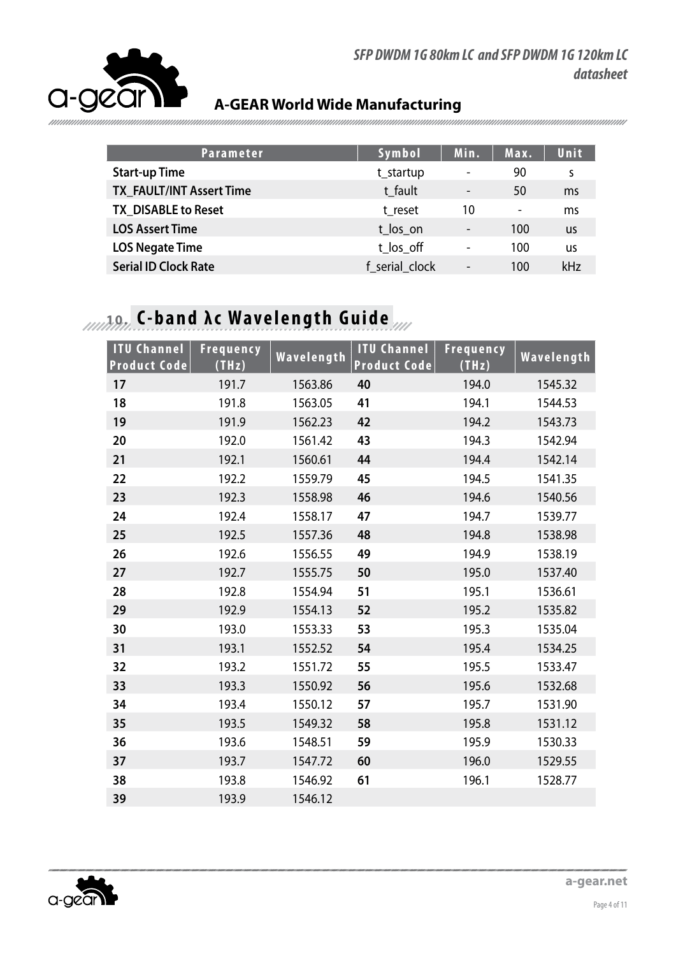

**Parameter Symbol Min. Max. Unit Start-up Time the startup of the startup of the startup of the startup of the startup of the startup of the startup of the startup of the startup of the startup of the startup of the startup of the startup of the startu TX\_FAULT/INT Assert Time** t\_fault t\_fault - 50 ms **TX\_DISABLE to Reset** transformation transformation transformation transformation transformation transformation transformation transformation transformation transformation transformation transformation transformation trans **LOS Assert Time** to the top of the top of the top of the top of the top of the top of the top of the top of the top of the top of the top of the top of the top of the top of the top of the top of the top of the top of the **LOS Negate Time** that is the total to the total to the total to the total to the total to the total to the total to the total to the total to the total to the total to the total to the total to the total to the total to t **Serial ID Clock Rate f** serial clock - 100 kHz

# **10. C-band λc Wavelength Guide**

| <b>ITU Channel</b><br><b>Product Code</b> | <b>Frequency</b><br>(THz) | Wavelength | <b>ITU Channel</b><br><b>Product Code</b> | Frequency<br>(THz) | Wavelength |
|-------------------------------------------|---------------------------|------------|-------------------------------------------|--------------------|------------|
| 17                                        | 191.7                     | 1563.86    | 40                                        | 194.0              | 1545.32    |
| 18                                        | 191.8                     | 1563.05    | 41                                        | 194.1              | 1544.53    |
| 19                                        | 191.9                     | 1562.23    | 42                                        | 194.2              | 1543.73    |
| 20                                        | 192.0                     | 1561.42    | 43                                        | 194.3              | 1542.94    |
| 21                                        | 192.1                     | 1560.61    | 44                                        | 194.4              | 1542.14    |
| 22                                        | 192.2                     | 1559.79    | 45                                        | 194.5              | 1541.35    |
| 23                                        | 192.3                     | 1558.98    | 46                                        | 194.6              | 1540.56    |
| 24                                        | 192.4                     | 1558.17    | 47                                        | 194.7              | 1539.77    |
| 25                                        | 192.5                     | 1557.36    | 48                                        | 194.8              | 1538.98    |
| 26                                        | 192.6                     | 1556.55    | 49                                        | 194.9              | 1538.19    |
| 27                                        | 192.7                     | 1555.75    | 50                                        | 195.0              | 1537.40    |
| 28                                        | 192.8                     | 1554.94    | 51                                        | 195.1              | 1536.61    |
| 29                                        | 192.9                     | 1554.13    | 52                                        | 195.2              | 1535.82    |
| 30                                        | 193.0                     | 1553.33    | 53                                        | 195.3              | 1535.04    |
| 31                                        | 193.1                     | 1552.52    | 54                                        | 195.4              | 1534.25    |
| 32                                        | 193.2                     | 1551.72    | 55                                        | 195.5              | 1533.47    |
| 33                                        | 193.3                     | 1550.92    | 56                                        | 195.6              | 1532.68    |
| 34                                        | 193.4                     | 1550.12    | 57                                        | 195.7              | 1531.90    |
| 35                                        | 193.5                     | 1549.32    | 58                                        | 195.8              | 1531.12    |
| 36                                        | 193.6                     | 1548.51    | 59                                        | 195.9              | 1530.33    |
| 37                                        | 193.7                     | 1547.72    | 60                                        | 196.0              | 1529.55    |
| 38                                        | 193.8                     | 1546.92    | 61                                        | 196.1              | 1528.77    |
| 39                                        | 193.9                     | 1546.12    |                                           |                    |            |

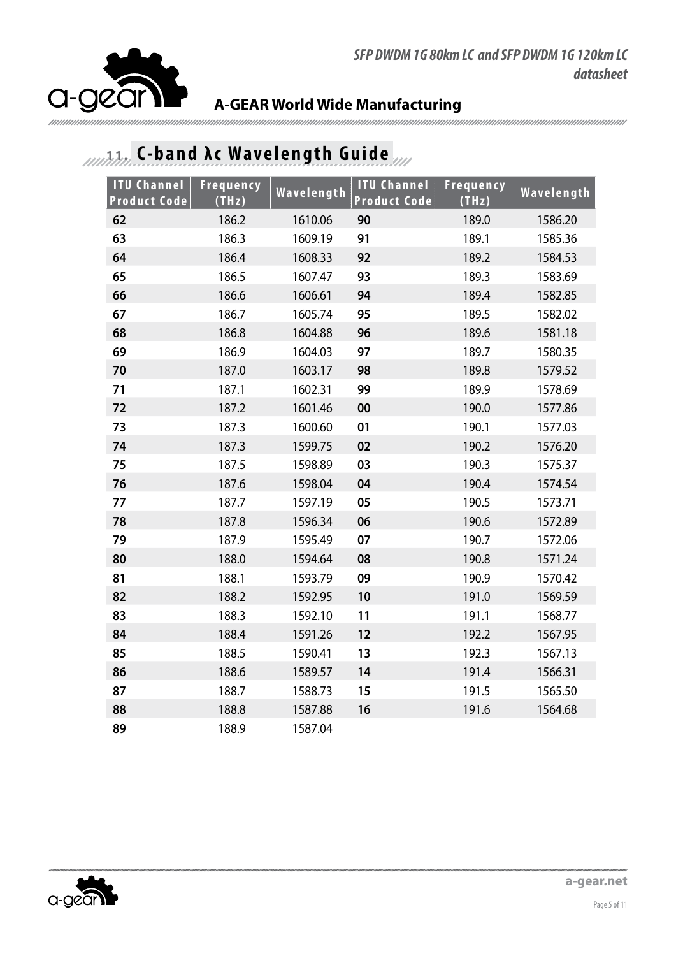

# **11. 11. 11. C-band λc Wavelength Guide**

| <b>ITU Channel</b><br><b>Product Code</b> | Frequency<br>(THz) | Wavelength | <b>ITU Channel</b><br><b>Product Code</b> | <b>Frequency</b><br>(THz) | Wavelength |
|-------------------------------------------|--------------------|------------|-------------------------------------------|---------------------------|------------|
| 62                                        | 186.2              | 1610.06    | 90                                        | 189.0                     | 1586.20    |
| 63                                        | 186.3              | 1609.19    | 91                                        | 189.1                     | 1585.36    |
| 64                                        | 186.4              | 1608.33    | 92                                        | 189.2                     | 1584.53    |
| 65                                        | 186.5              | 1607.47    | 93                                        | 189.3                     | 1583.69    |
| 66                                        | 186.6              | 1606.61    | 94                                        | 189.4                     | 1582.85    |
| 67                                        | 186.7              | 1605.74    | 95                                        | 189.5                     | 1582.02    |
| 68                                        | 186.8              | 1604.88    | 96                                        | 189.6                     | 1581.18    |
| 69                                        | 186.9              | 1604.03    | 97                                        | 189.7                     | 1580.35    |
| 70                                        | 187.0              | 1603.17    | 98                                        | 189.8                     | 1579.52    |
| 71                                        | 187.1              | 1602.31    | 99                                        | 189.9                     | 1578.69    |
| 72                                        | 187.2              | 1601.46    | 00                                        | 190.0                     | 1577.86    |
| 73                                        | 187.3              | 1600.60    | 01                                        | 190.1                     | 1577.03    |
| 74                                        | 187.3              | 1599.75    | 02                                        | 190.2                     | 1576.20    |
| 75                                        | 187.5              | 1598.89    | 03                                        | 190.3                     | 1575.37    |
| 76                                        | 187.6              | 1598.04    | 04                                        | 190.4                     | 1574.54    |
| 77                                        | 187.7              | 1597.19    | 05                                        | 190.5                     | 1573.71    |
| 78                                        | 187.8              | 1596.34    | 06                                        | 190.6                     | 1572.89    |
| 79                                        | 187.9              | 1595.49    | 07                                        | 190.7                     | 1572.06    |
| 80                                        | 188.0              | 1594.64    | 08                                        | 190.8                     | 1571.24    |
| 81                                        | 188.1              | 1593.79    | 09                                        | 190.9                     | 1570.42    |
| 82                                        | 188.2              | 1592.95    | 10                                        | 191.0                     | 1569.59    |
| 83                                        | 188.3              | 1592.10    | 11                                        | 191.1                     | 1568.77    |
| 84                                        | 188.4              | 1591.26    | 12                                        | 192.2                     | 1567.95    |
| 85                                        | 188.5              | 1590.41    | 13                                        | 192.3                     | 1567.13    |
| 86                                        | 188.6              | 1589.57    | 14                                        | 191.4                     | 1566.31    |
| 87                                        | 188.7              | 1588.73    | 15                                        | 191.5                     | 1565.50    |
| 88                                        | 188.8              | 1587.88    | 16                                        | 191.6                     | 1564.68    |
| 89                                        | 188.9              | 1587.04    |                                           |                           |            |

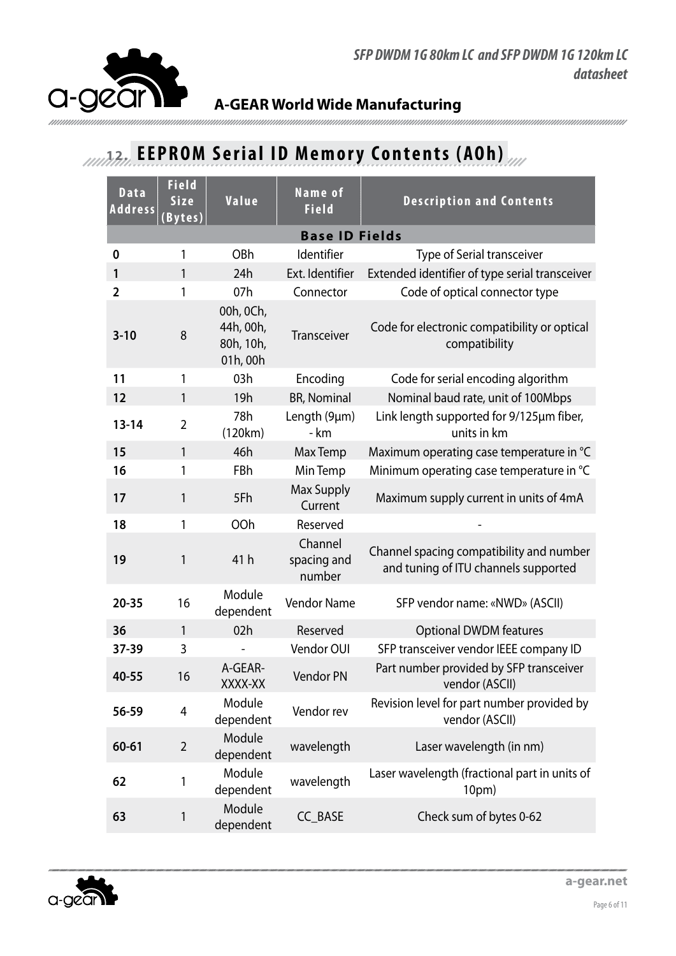

### **12. EEPROM Serial ID Memory Contents (AOh)**

| Data<br><b>Address</b> | <b>Field</b><br><b>Size</b><br>Bytes <u>)</u> | Value                                           | Name of<br><b>Field</b>          | <b>Description and Contents</b>                                                  |  |  |
|------------------------|-----------------------------------------------|-------------------------------------------------|----------------------------------|----------------------------------------------------------------------------------|--|--|
| <b>Base ID Fields</b>  |                                               |                                                 |                                  |                                                                                  |  |  |
| 0                      | 1                                             | OBh                                             | Identifier                       | <b>Type of Serial transceiver</b>                                                |  |  |
| 1                      | 1                                             | 24h                                             | Ext. Identifier                  | Extended identifier of type serial transceiver                                   |  |  |
| $\overline{2}$         | 1                                             | 07h                                             | Connector                        | Code of optical connector type                                                   |  |  |
| $3 - 10$               | 8                                             | 00h, 0Ch,<br>44h, 00h,<br>80h, 10h,<br>01h, 00h | <b>Transceiver</b>               | Code for electronic compatibility or optical<br>compatibility                    |  |  |
| 11                     | 1                                             | 03h                                             | Encoding                         | Code for serial encoding algorithm                                               |  |  |
| 12                     | 1                                             | 19h                                             | <b>BR, Nominal</b>               | Nominal baud rate, unit of 100Mbps                                               |  |  |
| $13 - 14$              | $\overline{2}$                                | 78h<br>(120km)                                  | Length (9µm)<br>- km             | Link length supported for 9/125µm fiber,<br>units in km                          |  |  |
| 15                     | $\mathbf{1}$                                  | 46h                                             | Max Temp                         | Maximum operating case temperature in °C                                         |  |  |
| 16                     | 1                                             | FBh                                             | Min Temp                         | Minimum operating case temperature in °C                                         |  |  |
| 17                     | 1                                             | 5Fh                                             | <b>Max Supply</b><br>Current     | Maximum supply current in units of 4mA                                           |  |  |
| 18                     | 1                                             | OOh                                             | Reserved                         |                                                                                  |  |  |
| 19                     | 1                                             | 41h                                             | Channel<br>spacing and<br>number | Channel spacing compatibility and number<br>and tuning of ITU channels supported |  |  |
| $20 - 35$              | 16                                            | Module<br>dependent                             | <b>Vendor Name</b>               | SFP vendor name: «NWD» (ASCII)                                                   |  |  |
| 36                     | $\mathbf{1}$                                  | 02h                                             | Reserved                         | <b>Optional DWDM features</b>                                                    |  |  |
| 37-39                  | 3                                             |                                                 | Vendor OUI                       | SFP transceiver vendor IEEE company ID                                           |  |  |
| 40-55                  | 16                                            | A-GEAR-<br>XXXX-XX                              | <b>Vendor PN</b>                 | Part number provided by SFP transceiver<br>vendor (ASCII)                        |  |  |
| 56-59                  | 4                                             | Module<br>dependent                             | Vendor rev                       | Revision level for part number provided by<br>vendor (ASCII)                     |  |  |
| 60-61                  | 2                                             | Module<br>dependent                             | wavelength                       | Laser wavelength (in nm)                                                         |  |  |
| 62                     | 1                                             | Module<br>dependent                             | wavelength                       | Laser wavelength (fractional part in units of<br>10pm)                           |  |  |
| 63                     | 1                                             | Module<br>dependent                             | CC_BASE                          | Check sum of bytes 0-62                                                          |  |  |

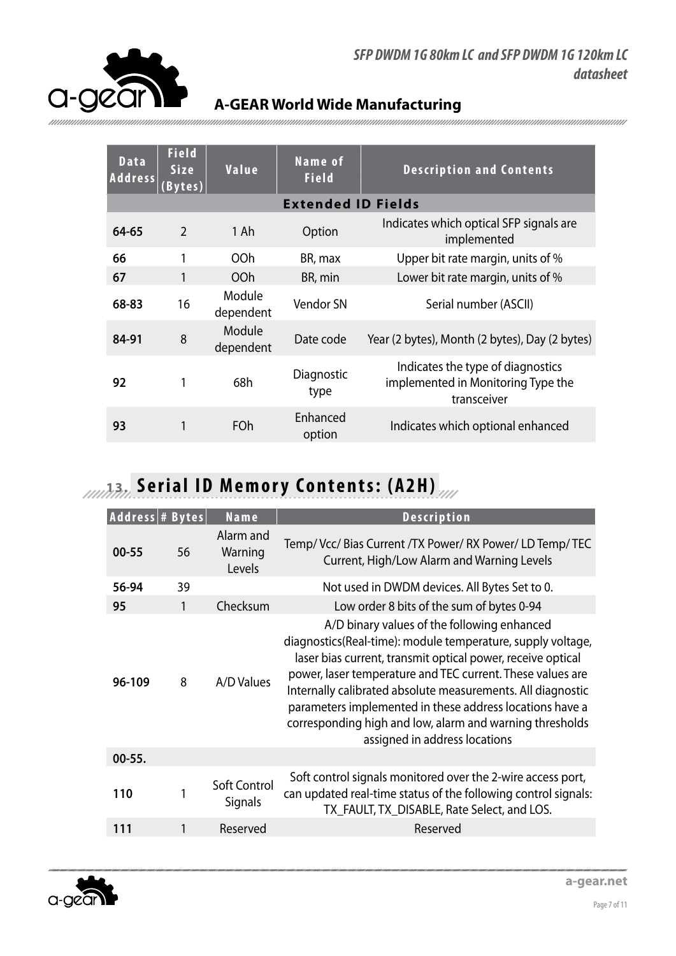

| <b>Data</b><br><b>Address</b> | <b>Field</b><br><b>Size</b><br>Bytes) | Value               | Name of<br><b>Field</b>   | <b>Description and Contents</b>                                                        |
|-------------------------------|---------------------------------------|---------------------|---------------------------|----------------------------------------------------------------------------------------|
|                               |                                       |                     | <b>Extended ID Fields</b> |                                                                                        |
| 64-65                         | $\overline{2}$                        | 1 Ah                | Option                    | Indicates which optical SFP signals are<br>implemented                                 |
| 66                            |                                       | 00h                 | BR, max                   | Upper bit rate margin, units of %                                                      |
| 67                            | 1                                     | O <sub>O</sub> h    | BR, min                   | Lower bit rate margin, units of %                                                      |
| 68-83                         | 16                                    | Module<br>dependent | Vendor SN                 | Serial number (ASCII)                                                                  |
| 84-91                         | 8                                     | Module<br>dependent | Date code                 | Year (2 bytes), Month (2 bytes), Day (2 bytes)                                         |
| 92                            | 1                                     | 68h                 | Diagnostic<br>type        | Indicates the type of diagnostics<br>implemented in Monitoring Type the<br>transceiver |
| 93                            | 1                                     | FOh                 | Enhanced<br>option        | Indicates which optional enhanced                                                      |

# **13. Serial ID Memory Contents: (A2H)**

| Address # Bytes |    | Name                           | <b>Description</b>                                                                                                                                                                                                                                                                                                                                                                                                                                              |
|-----------------|----|--------------------------------|-----------------------------------------------------------------------------------------------------------------------------------------------------------------------------------------------------------------------------------------------------------------------------------------------------------------------------------------------------------------------------------------------------------------------------------------------------------------|
| $00 - 55$       | 56 | Alarm and<br>Warning<br>Levels | Temp/Vcc/Bias Current /TX Power/RX Power/LD Temp/TEC<br>Current, High/Low Alarm and Warning Levels                                                                                                                                                                                                                                                                                                                                                              |
| 56-94           | 39 |                                | Not used in DWDM devices. All Bytes Set to 0.                                                                                                                                                                                                                                                                                                                                                                                                                   |
| 95              | 1  | Checksum                       | Low order 8 bits of the sum of bytes 0-94                                                                                                                                                                                                                                                                                                                                                                                                                       |
| 96-109          | 8  | A/D Values                     | A/D binary values of the following enhanced<br>diagnostics(Real-time): module temperature, supply voltage,<br>laser bias current, transmit optical power, receive optical<br>power, laser temperature and TEC current. These values are<br>Internally calibrated absolute measurements. All diagnostic<br>parameters implemented in these address locations have a<br>corresponding high and low, alarm and warning thresholds<br>assigned in address locations |
| $00 - 55.$      |    |                                |                                                                                                                                                                                                                                                                                                                                                                                                                                                                 |
| 110             |    | Soft Control<br>Signals        | Soft control signals monitored over the 2-wire access port,<br>can updated real-time status of the following control signals:<br>TX_FAULT, TX_DISABLE, Rate Select, and LOS.                                                                                                                                                                                                                                                                                    |
| 111             | 1  | Reserved                       | Reserved                                                                                                                                                                                                                                                                                                                                                                                                                                                        |

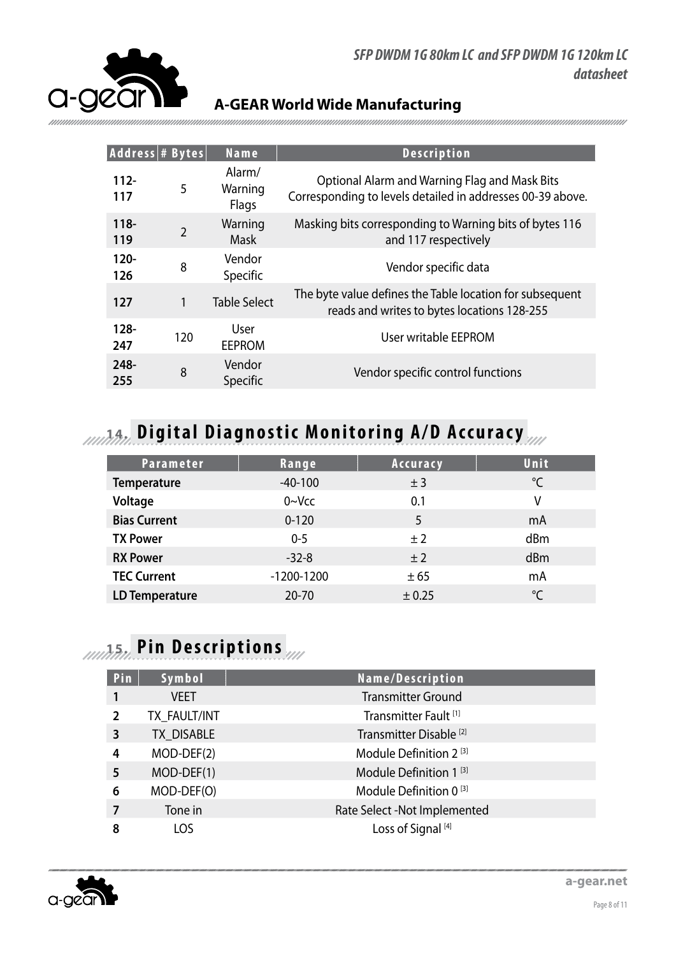

| Address # Bytes |                | Name                       | <b>Description</b>                                                                                          |
|-----------------|----------------|----------------------------|-------------------------------------------------------------------------------------------------------------|
| $112 -$<br>117  | 5              | Alarm/<br>Warning<br>Flags | Optional Alarm and Warning Flag and Mask Bits<br>Corresponding to levels detailed in addresses 00-39 above. |
| $118 -$<br>119  | $\overline{2}$ | Warning<br>Mask            | Masking bits corresponding to Warning bits of bytes 116<br>and 117 respectively                             |
| $120 -$<br>126  | 8              | Vendor<br>Specific         | Vendor specific data                                                                                        |
| 127             | 1              | <b>Table Select</b>        | The byte value defines the Table location for subsequent<br>reads and writes to bytes locations 128-255     |
| $128 -$<br>247  | 120            | User<br><b>EEPROM</b>      | User writable EEPROM                                                                                        |
| 248-<br>255     | 8              | Vendor<br>Specific         | Vendor specific control functions                                                                           |

# **14. Digital Diagnostic Monitoring A/D Accuracy**

| Parameter             | Range        | Accuracy | Unit         |
|-----------------------|--------------|----------|--------------|
| <b>Temperature</b>    | $-40-100$    | ±3       | °C           |
| Voltage               | $0 - Vcc$    | 0.1      | ٧            |
| <b>Bias Current</b>   | $0 - 120$    | 5        | mA           |
| <b>TX Power</b>       | $0 - 5$      | ±2       | dBm          |
| <b>RX Power</b>       | $-32-8$      | ±2       | dBm          |
| <b>TEC Current</b>    | $-1200-1200$ | ± 65     | mA           |
| <b>LD Temperature</b> | $20 - 70$    | ± 0.25   | $^{\circ}$ C |

# **15. Pin Descriptions**

| Pin            | Symbol       | Name/Description                   |
|----------------|--------------|------------------------------------|
|                | <b>VEET</b>  | <b>Transmitter Ground</b>          |
| $\overline{2}$ | TX_FAULT/INT | Transmitter Fault <sup>[1]</sup>   |
| 3              | TX DISABLE   | Transmitter Disable <sup>[2]</sup> |
| 4              | $MOD-DEF(2)$ | Module Definition 2 <sup>[3]</sup> |
| 5              | $MOD-DEF(1)$ | Module Definition 1 <sup>[3]</sup> |
| 6              | MOD-DEF(O)   | Module Definition 0 <sup>[3]</sup> |
|                | Tone in      | Rate Select -Not Implemented       |
| 8              | LOS          | Loss of Signal <sup>[4]</sup>      |

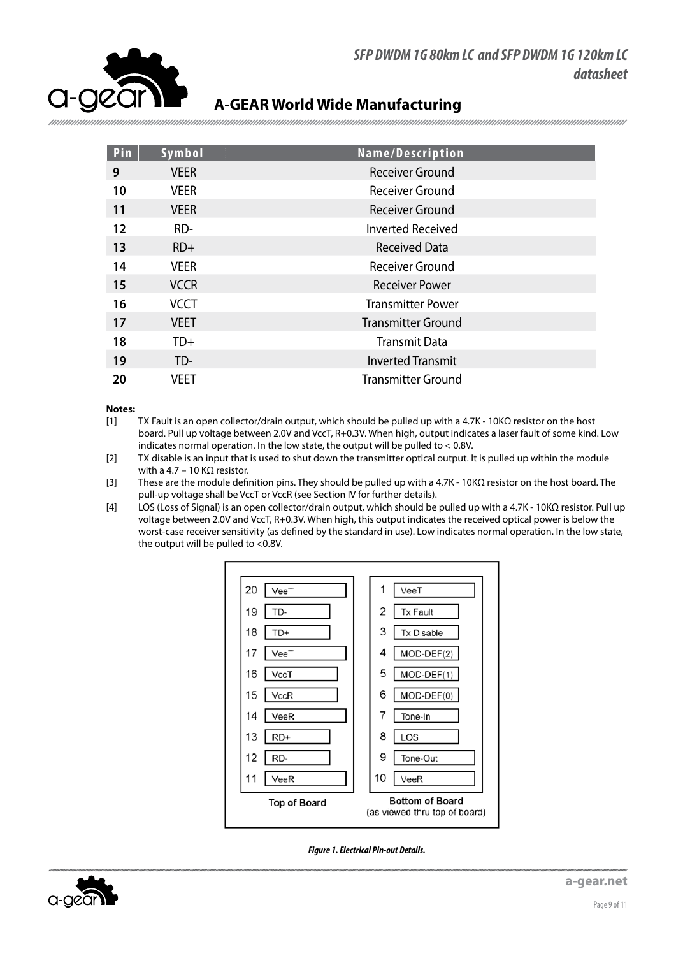

| Pin | Symbol      | Name/Description          |
|-----|-------------|---------------------------|
| 9   | <b>VEER</b> | <b>Receiver Ground</b>    |
| 10  | <b>VEER</b> | Receiver Ground           |
| 11  | <b>VEER</b> | Receiver Ground           |
| 12  | RD-         | <b>Inverted Received</b>  |
| 13  | $RD+$       | <b>Received Data</b>      |
| 14  | <b>VEER</b> | Receiver Ground           |
| 15  | <b>VCCR</b> | Receiver Power            |
| 16  | <b>VCCT</b> | <b>Transmitter Power</b>  |
| 17  | <b>VEET</b> | <b>Transmitter Ground</b> |
| 18  | TD+         | <b>Transmit Data</b>      |
| 19  | TD-         | <b>Inverted Transmit</b>  |
| 20  | VEET        | Transmitter Ground        |

#### **Notes:**

- [1] TX Fault is an open collector/drain output, which should be pulled up with a 4.7K 10KΩ resistor on the host board. Pull up voltage between 2.0V and VccT, R+0.3V. When high, output indicates a laser fault of some kind. Low indicates normal operation. In the low state, the output will be pulled to < 0.8V.
- [2] TX disable is an input that is used to shut down the transmitter optical output. It is pulled up within the module with a 4.7 – 10 KQ resistor.
- [3] These are the module definition pins. They should be pulled up with a 4.7K 10KΩ resistor on the host board. The pull-up voltage shall be VccT or VccR (see Section IV for further details).
- [4] LOS (Loss of Signal) is an open collector/drain output, which should be pulled up with a 4.7K 10KΩ resistor. Pull up voltage between 2.0V and VccT, R+0.3V. When high, this output indicates the received optical power is below the worst-case receiver sensitivity (as defined by the standard in use). Low indicates normal operation. In the low state, the output will be pulled to <0.8V.





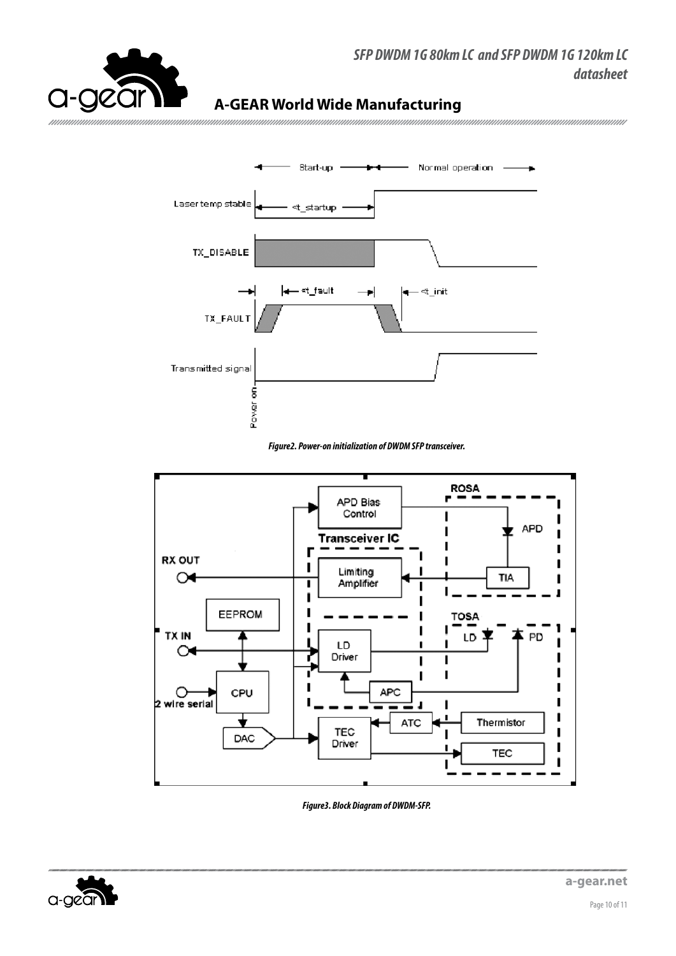

#### SFP DWDM 1G 80km LC and SFP DWDM 1G 120km LC datasheet

### **A-GEAR World Wide Manufacturing**



#### Figure2. Power-on initialization of DWDM SFP transceiver.



Figure 3. Block Diagram of DWDM-SFP.